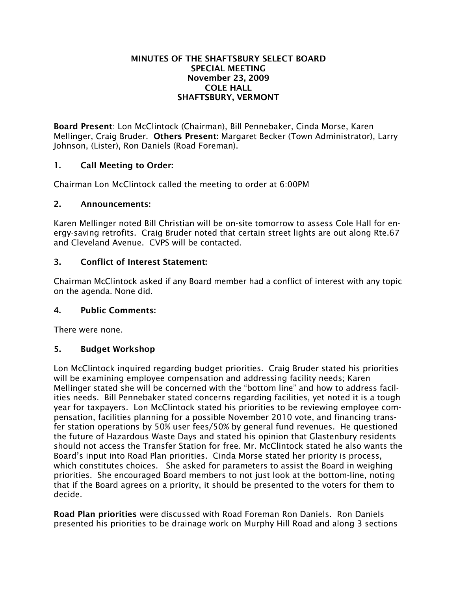### MINUTES OF THE SHAFTSBURY SELECT BOARD SPECIAL MEETING November 23, 2009 COLE HALL SHAFTSBURY, VERMONT

Board Present: Lon McClintock (Chairman), Bill Pennebaker, Cinda Morse, Karen Mellinger, Craig Bruder. Others Present: Margaret Becker (Town Administrator), Larry Johnson, (Lister), Ron Daniels (Road Foreman).

# 1. Call Meeting to Order:

Chairman Lon McClintock called the meeting to order at 6:00PM

### 2. Announcements:

Karen Mellinger noted Bill Christian will be on-site tomorrow to assess Cole Hall for energy-saving retrofits. Craig Bruder noted that certain street lights are out along Rte.67 and Cleveland Avenue. CVPS will be contacted.

## 3. Conflict of Interest Statement:

Chairman McClintock asked if any Board member had a conflict of interest with any topic on the agenda. None did.

### 4. Public Comments:

There were none.

# 5. Budget Workshop

Lon McClintock inquired regarding budget priorities. Craig Bruder stated his priorities will be examining employee compensation and addressing facility needs; Karen Mellinger stated she will be concerned with the "bottom line" and how to address facilities needs. Bill Pennebaker stated concerns regarding facilities, yet noted it is a tough year for taxpayers. Lon McClintock stated his priorities to be reviewing employee compensation, facilities planning for a possible November 2010 vote, and financing transfer station operations by 50% user fees/50% by general fund revenues. He questioned the future of Hazardous Waste Days and stated his opinion that Glastenbury residents should not access the Transfer Station for free. Mr. McClintock stated he also wants the Board's input into Road Plan priorities. Cinda Morse stated her priority is process, which constitutes choices. She asked for parameters to assist the Board in weighing priorities. She encouraged Board members to not just look at the bottom-line, noting that if the Board agrees on a priority, it should be presented to the voters for them to decide.

Road Plan priorities were discussed with Road Foreman Ron Daniels. Ron Daniels presented his priorities to be drainage work on Murphy Hill Road and along 3 sections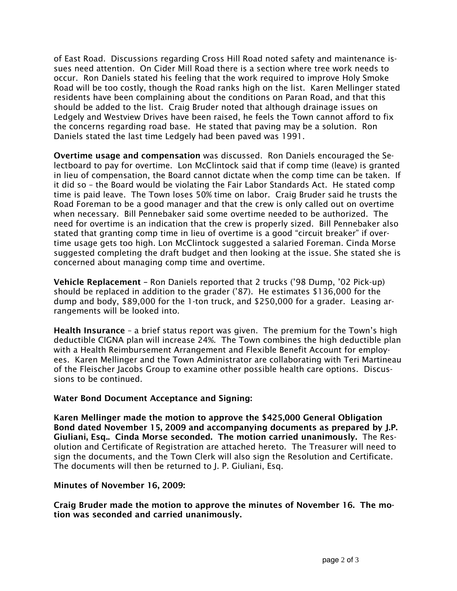of East Road. Discussions regarding Cross Hill Road noted safety and maintenance issues need attention. On Cider Mill Road there is a section where tree work needs to occur. Ron Daniels stated his feeling that the work required to improve Holy Smoke Road will be too costly, though the Road ranks high on the list. Karen Mellinger stated residents have been complaining about the conditions on Paran Road, and that this should be added to the list. Craig Bruder noted that although drainage issues on Ledgely and Westview Drives have been raised, he feels the Town cannot afford to fix the concerns regarding road base. He stated that paving may be a solution. Ron Daniels stated the last time Ledgely had been paved was 1991.

Overtime usage and compensation was discussed. Ron Daniels encouraged the Selectboard to pay for overtime. Lon McClintock said that if comp time (leave) is granted in lieu of compensation, the Board cannot dictate when the comp time can be taken. If it did so – the Board would be violating the Fair Labor Standards Act. He stated comp time is paid leave. The Town loses 50% time on labor. Craig Bruder said he trusts the Road Foreman to be a good manager and that the crew is only called out on overtime when necessary. Bill Pennebaker said some overtime needed to be authorized. The need for overtime is an indication that the crew is properly sized. Bill Pennebaker also stated that granting comp time in lieu of overtime is a good "circuit breaker" if overtime usage gets too high. Lon McClintock suggested a salaried Foreman. Cinda Morse suggested completing the draft budget and then looking at the issue. She stated she is concerned about managing comp time and overtime.

Vehicle Replacement – Ron Daniels reported that 2 trucks ('98 Dump, '02 Pick-up) should be replaced in addition to the grader ('87). He estimates \$136,000 for the dump and body, \$89,000 for the 1-ton truck, and \$250,000 for a grader. Leasing arrangements will be looked into.

Health Insurance – a brief status report was given. The premium for the Town's high deductible CIGNA plan will increase 24%. The Town combines the high deductible plan with a Health Reimbursement Arrangement and Flexible Benefit Account for employees. Karen Mellinger and the Town Administrator are collaborating with Teri Martineau of the Fleischer Jacobs Group to examine other possible health care options. Discussions to be continued.

### Water Bond Document Acceptance and Signing:

Karen Mellinger made the motion to approve the \$425,000 General Obligation Bond dated November 15, 2009 and accompanying documents as prepared by J.P. Giuliani, Esq.. Cinda Morse seconded. The motion carried unanimously. The Resolution and Certificate of Registration are attached hereto. The Treasurer will need to sign the documents, and the Town Clerk will also sign the Resolution and Certificate. The documents will then be returned to J. P. Giuliani, Esq.

#### Minutes of November 16, 2009:

Craig Bruder made the motion to approve the minutes of November 16. The motion was seconded and carried unanimously.